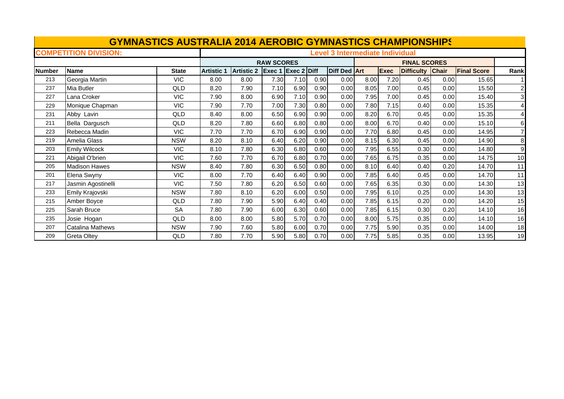| <b>GYMNASTICS AUSTRALIA 2014 AEROBIC GYMNASTICS CHAMPIONSHIPS</b> |                              |              |                   |                                        |                    |      |      |              |      |                     |                   |              |                    |                |  |
|-------------------------------------------------------------------|------------------------------|--------------|-------------------|----------------------------------------|--------------------|------|------|--------------|------|---------------------|-------------------|--------------|--------------------|----------------|--|
|                                                                   | <b>COMPETITION DIVISION:</b> |              |                   | <b>Level 3 Intermediate Individual</b> |                    |      |      |              |      |                     |                   |              |                    |                |  |
|                                                                   |                              |              | <b>RAW SCORES</b> |                                        |                    |      |      |              |      | <b>FINAL SCORES</b> |                   |              |                    |                |  |
| <b>Number</b>                                                     | <b>Name</b>                  | <b>State</b> | <b>Artistic 1</b> | <b>Artistic 2</b>                      | Exec 1 Exec 2 Diff |      |      | Diff Ded Art |      | Exec                | <b>Difficulty</b> | <b>Chair</b> | <b>Final Score</b> | Rank           |  |
| 213                                                               | Georgia Martin               | <b>VIC</b>   | 8.00              | 8.00                                   | 7.30               | 7.10 | 0.90 | 0.00         | 8.00 | 7.20                | 0.45              | 0.00         | 15.65              |                |  |
| 237                                                               | Mia Butler                   | QLD          | 8.20              | 7.90                                   | 7.10               | 6.90 | 0.90 | 0.00         | 8.05 | 7.00                | 0.45              | 0.00         | 15.50              | $\mathbf{z}$   |  |
| 227                                                               | Lana Croker                  | <b>VIC</b>   | 7.90              | 8.00                                   | 6.90               | 7.10 | 0.90 | 0.00         | 7.95 | 7.00                | 0.45              | 0.00         | 15.40              | 3              |  |
| 229                                                               | Monique Chapman              | <b>VIC</b>   | 7.90              | 7.70                                   | 7.00               | 7.30 | 0.80 | 0.00         | 7.80 | 7.15                | 0.40              | 0.00         | 15.35              | $\overline{4}$ |  |
| 231                                                               | Abby Lavin                   | QLD          | 8.40              | 8.00                                   | 6.50               | 6.90 | 0.90 | 0.00         | 8.20 | 6.70                | 0.45              | 0.00         | 15.35              | $\mathbf{4}$   |  |
| 211                                                               | Bella Dargusch               | QLD          | 8.20              | 7.80                                   | 6.60               | 6.80 | 0.80 | 0.00         | 8.00 | 6.70                | 0.40              | 0.00         | 15.10              | $6 \mid$       |  |
| 223                                                               | Rebecca Madin                | <b>VIC</b>   | 7.70              | 7.70                                   | 6.70               | 6.90 | 0.90 | 0.00         | 7.70 | 6.80                | 0.45              | 0.00         | 14.95              |                |  |
| 219                                                               | Amelia Glass                 | <b>NSW</b>   | 8.20              | 8.10                                   | 6.40               | 6.20 | 0.90 | 0.00         | 8.15 | 6.30                | 0.45              | 0.00         | 14.90              | 8              |  |
| 203                                                               | <b>Emily Wilcock</b>         | <b>VIC</b>   | 8.10              | 7.80                                   | 6.30               | 6.80 | 0.60 | 0.00         | 7.95 | 6.55                | 0.30              | 0.00         | 14.80              | 9              |  |
| 221                                                               | Abigail O'brien              | <b>VIC</b>   | 7.60              | 7.70                                   | 6.70               | 6.80 | 0.70 | 0.00         | 7.65 | 6.75                | 0.35              | 0.00         | 14.75              | 10             |  |
| 205                                                               | <b>Madison Hawes</b>         | <b>NSW</b>   | 8.40              | 7.80                                   | 6.30               | 6.50 | 0.80 | 0.00         | 8.10 | 6.40                | 0.40              | 0.20         | 14.70              | 11             |  |
| 201                                                               | Elena Swyny                  | <b>VIC</b>   | 8.00              | 7.70                                   | 6.40               | 6.40 | 0.90 | 0.00         | 7.85 | 6.40                | 0.45              | 0.00         | 14.70              | 11             |  |
| 217                                                               | Jasmin Agostinelli           | <b>VIC</b>   | 7.50              | 7.80                                   | 6.20               | 6.50 | 0.60 | 0.00         | 7.65 | 6.35                | 0.30              | 0.00         | 14.30              | 13             |  |
| 233                                                               | Emily Krajovski              | <b>NSW</b>   | 7.80              | 8.10                                   | 6.20               | 6.00 | 0.50 | 0.00         | 7.95 | 6.10                | 0.25              | 0.00         | 14.30              | 13             |  |
| 215                                                               | Amber Boyce                  | QLD          | 7.80              | 7.90                                   | 5.90               | 6.40 | 0.40 | 0.00         | 7.85 | 6.15                | 0.20              | 0.00         | 14.20              | 15             |  |
| 225                                                               | Sarah Bruce                  | <b>SA</b>    | 7.80              | 7.90                                   | 6.00               | 6.30 | 0.60 | 0.00         | 7.85 | 6.15                | 0.30              | 0.20         | 14.10              | 16             |  |
| 235                                                               | Josie Hogan                  | QLD          | 8.00              | 8.00                                   | 5.80               | 5.70 | 0.70 | 0.00         | 8.00 | 5.75                | 0.35              | 0.00         | 14.10              | 16             |  |
| 207                                                               | <b>Catalina Mathews</b>      | <b>NSW</b>   | 7.90              | 7.60                                   | 5.80               | 6.00 | 0.70 | 0.00         | 7.75 | 5.90                | 0.35              | 0.00         | 14.00              | 18             |  |
| 209                                                               | <b>Greta Oltey</b>           | QLD          | 7.80              | 7.70                                   | 5.90               | 5.80 | 0.70 | 0.00         | 7.75 | 5.85                | 0.35              | 0.00         | 13.95              | 19             |  |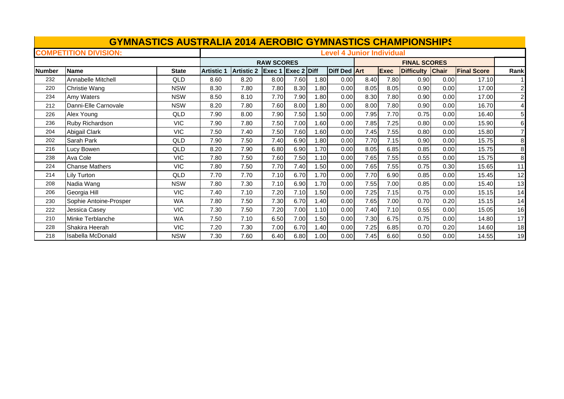| <b>GYMNASTICS AUSTRALIA 2014 AEROBIC GYMNASTICS CHAMPIONSHIPS</b> |                              |              |                                  |                   |        |               |      |              |      |                     |                   |              |                    |                |  |
|-------------------------------------------------------------------|------------------------------|--------------|----------------------------------|-------------------|--------|---------------|------|--------------|------|---------------------|-------------------|--------------|--------------------|----------------|--|
|                                                                   | <b>COMPETITION DIVISION:</b> |              | <b>Level 4 Junior Individual</b> |                   |        |               |      |              |      |                     |                   |              |                    |                |  |
|                                                                   |                              |              | <b>RAW SCORES</b>                |                   |        |               |      |              |      | <b>FINAL SCORES</b> |                   |              |                    |                |  |
| <b>Number</b>                                                     | <b>Name</b>                  | <b>State</b> | <b>Artistic</b>                  | <b>Artistic 2</b> | Exec 1 | $Exec 2$ Diff |      | Diff Ded Art |      | <b>Exec</b>         | <b>Difficulty</b> | <b>Chair</b> | <b>Final Score</b> | Rank           |  |
| 232                                                               | Annabelle Mitchell           | <b>QLD</b>   | 8.60                             | 8.20              | 8.00   | 7.60          | 1.80 | 0.00         | 8.40 | 7.80                | 0.90              | 0.00         | 17.10              |                |  |
| 220                                                               | Christie Wang                | <b>NSW</b>   | 8.30                             | 7.80              | 7.80   | 8.30          | 1.80 | 0.00         | 8.05 | 8.05                | 0.90              | 0.00         | 17.00              | $\mathbf{z}$   |  |
| 234                                                               | Amy Waters                   | <b>NSW</b>   | 8.50                             | 8.10              | 7.70   | 7.90          | 1.80 | 0.00         | 8.30 | 7.80                | 0.90              | 0.00         | 17.00              | $\mathbf{z}$   |  |
| 212                                                               | Danni-Elle Carnovale         | <b>NSW</b>   | 8.20                             | 7.80              | 7.60   | 8.00          | 1.80 | 0.00         | 8.00 | 7.80                | 0.90              | 0.00         | 16.70              | $\overline{4}$ |  |
| 226                                                               | Alex Young                   | QLD          | 7.90                             | 8.00              | 7.90   | 7.50          | 1.50 | 0.00         | 7.95 | 7.70                | 0.75              | 0.00         | 16.40              | 5 <sub>l</sub> |  |
| 236                                                               | Ruby Richardson              | <b>VIC</b>   | 7.90                             | 7.80              | 7.50   | 7.00          | 1.60 | 0.00         | 7.85 | 7.25                | 0.80              | 0.00         | 15.90              | 6              |  |
| 204                                                               | Abigail Clark                | <b>VIC</b>   | 7.50                             | 7.40              | 7.50   | 7.60          | 1.60 | 0.00         | 7.45 | 7.55                | 0.80              | 0.00         | 15.80              |                |  |
| 202                                                               | Sarah Park                   | QLD          | 7.90                             | 7.50              | 7.40   | 6.90          | 1.80 | 0.00         | 7.70 | 7.15                | 0.90              | 0.00         | 15.75              | 8              |  |
| 216                                                               | Lucy Bowen                   | QLD          | 8.20                             | 7.90              | 6.80   | 6.90          | 1.70 | 0.00         | 8.05 | 6.85                | 0.85              | 0.00         | 15.75              | 8              |  |
| 238                                                               | Ava Cole                     | <b>VIC</b>   | 7.80                             | 7.50              | 7.60   | 7.50          | 1.10 | 0.00         | 7.65 | 7.55                | 0.55              | 0.00         | 15.75              | 8              |  |
| 224                                                               | <b>Chanse Mathers</b>        | VIC.         | 7.80                             | 7.50              | 7.70   | 7.40          | 1.50 | 0.00         | 7.65 | 7.55                | 0.75              | 0.30         | 15.65              | 11             |  |
| 214                                                               | Lily Turton                  | <b>QLD</b>   | 7.70                             | 7.70              | 7.10   | 6.70          | 1.70 | 0.00         | 7.70 | 6.90                | 0.85              | 0.00         | 15.45              | 12             |  |
| 208                                                               | Nadia Wang                   | <b>NSW</b>   | 7.80                             | 7.30              | 7.10   | 6.90          | 1.70 | 0.00         | 7.55 | 7.00                | 0.85              | 0.00         | 15.40              | 13             |  |
| 206                                                               | Georgia Hill                 | <b>VIC</b>   | 7.40                             | 7.10              | 7.20   | 7.10          | 1.50 | 0.00         | 7.25 | 7.15                | 0.75              | 0.00         | 15.15              | 14             |  |
| 230                                                               | Sophie Antoine-Prosper       | <b>WA</b>    | 7.80                             | 7.50              | 7.30   | 6.70          | 1.40 | 0.00         | 7.65 | 7.00                | 0.70              | 0.20         | 15.15              | 14             |  |
| 222                                                               | Jessica Casey                | <b>VIC</b>   | 7.30                             | 7.50              | 7.20   | 7.00          | 1.10 | 0.00         | 7.40 | 7.10                | 0.55              | 0.00         | 15.05              | 16             |  |
| 210                                                               | Minke Terblanche             | <b>WA</b>    | 7.50                             | 7.10              | 6.50   | 7.00          | 1.50 | 0.00         | 7.30 | 6.75                | 0.75              | 0.00         | 14.80              | 17             |  |
| 228                                                               | Shakira Heerah               | <b>VIC</b>   | 7.20                             | 7.30              | 7.00   | 6.70          | 1.40 | 0.00         | 7.25 | 6.85                | 0.70              | 0.20         | 14.60              | 18             |  |
| 218                                                               | <b>Isabella McDonald</b>     | <b>NSW</b>   | 7.30                             | 7.60              | 6.40   | 6.80          | 1.00 | 0.00         | 7.45 | 6.60                | 0.50              | 0.00         | 14.55              | 19             |  |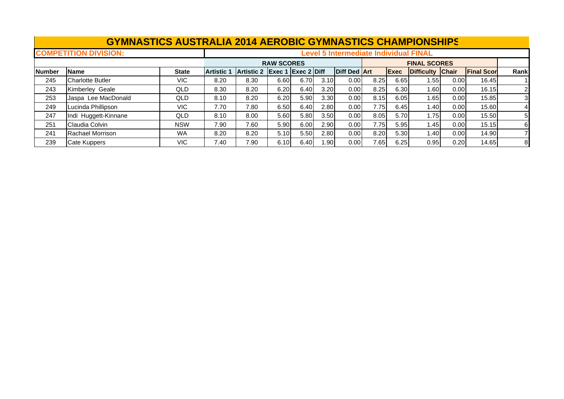|               | <b>GYMNASTICS AUSTRALIA 2014 AEROBIC GYMNASTICS CHAMPIONSHIPS</b> |              |                                              |                   |      |                                                |                   |                     |      |                     |                  |      |                   |                |  |
|---------------|-------------------------------------------------------------------|--------------|----------------------------------------------|-------------------|------|------------------------------------------------|-------------------|---------------------|------|---------------------|------------------|------|-------------------|----------------|--|
|               | <b>COMPETITION DIVISION:</b>                                      |              | <b>Level 5 Intermediate Individual FINAL</b> |                   |      |                                                |                   |                     |      |                     |                  |      |                   |                |  |
|               |                                                                   |              | <b>RAW SCORES</b>                            |                   |      |                                                |                   |                     |      | <b>FINAL SCORES</b> |                  |      |                   |                |  |
| <b>Number</b> | Name                                                              | <b>State</b> | <b>Artistic 1</b>                            | <b>Artistic 2</b> |      | $\left $ Exec 1 $\left $ Exec 2 $\right $ Diff |                   | <b>Diff Ded Art</b> |      | Exec                | Difficulty Chair |      | <b>Final Scor</b> | Rank           |  |
| 245           | <b>Charlotte Butler</b>                                           | VIC.         | 8.20                                         | 8.30              | 6.60 | 6.70                                           | 3.10              | 0.00                | 8.25 | 6.65                | 1.551            | 0.00 | 16.45             |                |  |
| 243           | Kimberley Geale                                                   | <b>QLD</b>   | 8.30                                         | 8.20              | 6.20 | 6.40                                           | 3.20              | 0.00                | 8.25 | 6.30                | .60 <sub>1</sub> | 0.00 | 16.15             | $\overline{2}$ |  |
| 253           | Jaspa Lee MacDonald                                               | QLD          | 8.10                                         | 8.20              | 6.20 | 5.90                                           | 3.30              | 0.00                | 8.15 | 6.05                | 1.65             | 0.00 | 15.85             |                |  |
| 249           | Lucinda Phillipson                                                | VIC.         | 7.70                                         | 7.80              | 6.50 | 6.40                                           | 2.80              | 0.00                | 7.75 | 6.45                | 1.40             | 0.00 | 15.60             | 41             |  |
| 247           | Indi Huggett-Kinnane                                              | <b>QLD</b>   | 8.10                                         | 8.00              | 5.60 | 5.80                                           | 3.50              | 0.00                | 8.05 | 5.70                | 1.75             | 0.00 | 15.50             | 5              |  |
| 251           | Claudia Colvin                                                    | <b>NSW</b>   | 7.90                                         | 7.60              | 5.90 | 6.00                                           | 2.90              | 0.00                | 7.75 | 5.95                | 1.45             | 0.00 | 15.15             | 6              |  |
| 241           | Rachael Morrison                                                  | <b>WA</b>    | 8.20                                         | 8.20              | 5.10 | 5.50                                           | 2.80              | 0.00                | 8.20 | 5.30                | ا 40. ا          | 0.00 | 14.90             |                |  |
| 239           | <b>Cate Kuppers</b>                                               | VIC.         | 7.40                                         | 7.90              | 6.10 | 6.40                                           | 1.90 <sub>l</sub> | 0.00                | 7.65 | 6.25                | 0.95             | 0.20 | 14.65             | 8              |  |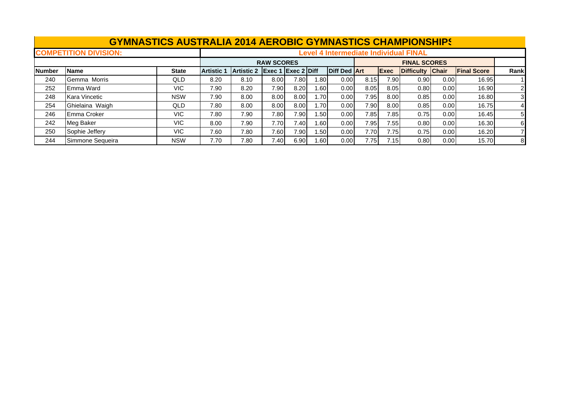|               | <b>GYMNASTICS AUSTRALIA 2014 AEROBIC GYMNASTICS CHAMPIONSHIPS</b> |              |                                              |                   |                                                    |      |       |                     |      |                     |                   |       |                    |                |  |
|---------------|-------------------------------------------------------------------|--------------|----------------------------------------------|-------------------|----------------------------------------------------|------|-------|---------------------|------|---------------------|-------------------|-------|--------------------|----------------|--|
|               | <b>COMPETITION DIVISION:</b>                                      |              | <b>Level 4 Intermediate Individual FINAL</b> |                   |                                                    |      |       |                     |      |                     |                   |       |                    |                |  |
|               |                                                                   |              | <b>RAW SCORES</b>                            |                   |                                                    |      |       |                     |      | <b>FINAL SCORES</b> |                   |       |                    |                |  |
| <b>Number</b> | <b>Name</b>                                                       | <b>State</b> | <b>Artistic 1</b>                            | <b>Artistic 2</b> | $\left \right $ Exec 1 $\left \right $ Exec 2 Diff |      |       | <b>Diff Ded Art</b> |      | Exec                | Difficulty Chair  |       | <b>Final Score</b> | Rank           |  |
| 240           | Gemma Morris                                                      | QLD          | 8.20                                         | 8.10              | 8.00                                               | 7.80 | 1.80I | 0.00                | 8.15 | 7.90                | 0.90 <sub>l</sub> | 0.001 | 16.95              |                |  |
| 252           | <b>Emma Ward</b>                                                  | VIC.         | 7.90                                         | 8.20              | 7.90                                               | 8.20 | 1.60  | 0.00                | 8.05 | 8.05                | 0.80              | 0.00  | 16.90              | 2              |  |
| 248           | Kara Vincetic                                                     | <b>NSW</b>   | 7.90                                         | 8.00              | 8.00                                               | 8.00 | 1.70I | 0.00                | 7.95 | 8.00                | 0.85              | 0.00  | 16.80              | 3              |  |
| 254           | Ghielaina Waigh                                                   | QLD          | 7.80                                         | 8.00              | 8.00                                               | 8.00 | 1.701 | 0.00                | 7.90 | 8.00                | 0.85              | 0.00  | 16.75              | $\overline{4}$ |  |
| 246           | <b>Emma Croker</b>                                                | VIC.         | 7.80                                         | 7.90              | 7.80                                               | 7.90 | 1.50  | 0.00                | 7.85 | 7.85                | 0.75              | 0.00  | 16.45              | 5              |  |
| 242           | Meg Baker                                                         | VIC.         | 8.00                                         | 7.90              | 7.70                                               | 7.40 | 1.60  | 0.00                | 7.95 | 7.55                | 0.80              | 0.00  | 16.30              | 61             |  |
| 250           | Sophie Jeffery                                                    | VIC.         | 7.60                                         | 7.80              | 7.60                                               | 7.90 | l.50l | 0.00                | 7.70 | 7.75                | 0.75              | 0.00  | 16.20              |                |  |
| 244           | Simmone Sequeira                                                  | <b>NSW</b>   | 7.70                                         | 7.80              | 7.40I                                              | 6.90 | 1.60I | 0.00                | 7.75 | 7.15                | 0.80              | 0.00  | 15.70              | 8              |  |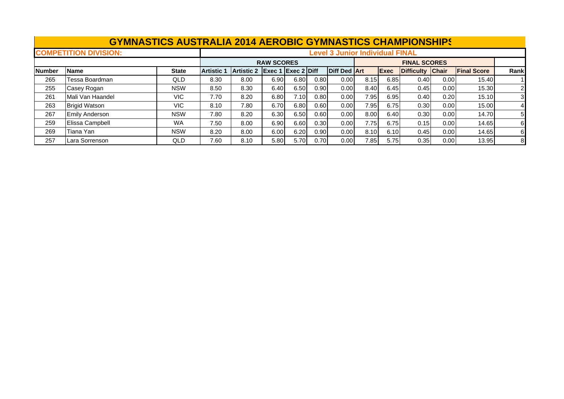|               | <b>GYMNASTICS AUSTRALIA 2014 AEROBIC GYMNASTICS CHAMPIONSHIPS</b> |              |                                        |                   |                           |      |      |                   |      |                     |                  |       |                    |                |  |
|---------------|-------------------------------------------------------------------|--------------|----------------------------------------|-------------------|---------------------------|------|------|-------------------|------|---------------------|------------------|-------|--------------------|----------------|--|
|               | <b>COMPETITION DIVISION:</b>                                      |              | <b>Level 3 Junior Individual FINAL</b> |                   |                           |      |      |                   |      |                     |                  |       |                    |                |  |
|               |                                                                   |              | <b>RAW SCORES</b>                      |                   |                           |      |      |                   |      | <b>FINAL SCORES</b> |                  |       |                    |                |  |
| <b>Number</b> | <b>Name</b>                                                       | <b>State</b> | <b>Artistic 1</b>                      | <b>Artistic 2</b> | <b>Exec 1 Exec 2 Diff</b> |      |      | Diff Ded Art      |      | Exec                | Difficulty Chair |       | <b>Final Score</b> | Rank           |  |
| 265           | Tessa Boardman                                                    | QLD          | 8.30                                   | 8.00              | 6.90                      | 6.80 | 0.80 | 0.00              | 8.15 | 6.85                | 0.40             | 0.001 | 15.40              |                |  |
| 255           | Casey Rogan                                                       | <b>NSW</b>   | 8.50                                   | 8.30              | 6.40                      | 6.50 | 0.90 | 0.00 <sub>l</sub> | 8.40 | 6.45                | 0.45             | 0.00  | 15.30              | $\overline{2}$ |  |
| 261           | Mali Van Haandel                                                  | VIC.         | 7.70                                   | 8.20              | 6.80                      | 7.10 | 0.80 | 0.00 <sub>l</sub> | 7.95 | 6.95                | 0.40             | 0.20  | 15.10              | 3              |  |
| 263           | <b>Brigid Watson</b>                                              | VIC.         | 8.10                                   | 7.80              | 6.70                      | 6.80 | 0.60 | 0.00              | 7.95 | 6.75                | 0.30             | 0.00  | 15.00              | $\overline{4}$ |  |
| 267           | <b>Emily Anderson</b>                                             | <b>NSW</b>   | 7.80                                   | 8.20              | 6.30                      | 6.50 | 0.60 | 0.00              | 8.00 | 6.40                | 0.30             | 0.00  | 14.70              | 5              |  |
| 259           | Elissa Campbell                                                   | <b>WA</b>    | 7.50                                   | 8.00              | 6.90                      | 6.60 | 0.30 | 0.00              | 7.75 | 6.75                | 0.15             | 0.00  | 14.65              | 61             |  |
| 269           | Tiana Yan                                                         | <b>NSW</b>   | 8.20                                   | 8.00              | 6.00                      | 6.20 | 0.90 | 0.00              | 8.10 | 6.10                | 0.45             | 0.00  | 14.65              | 6              |  |
| 257           | Lara Sorrenson                                                    | QLD          | 7.60                                   | 8.10              | 5.80                      | 5.70 | 0.70 | 0.00              | 7.85 | 5.75                | 0.35             | 0.00  | 13.95              | 8              |  |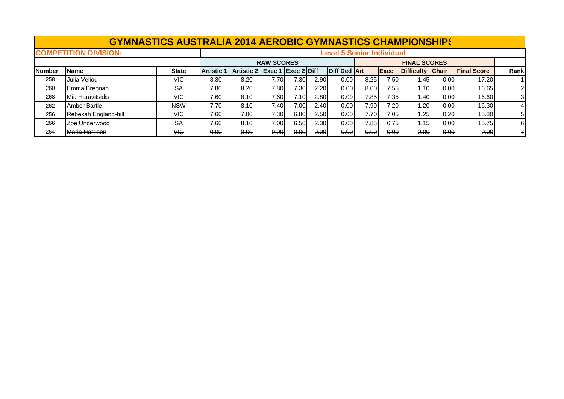|               | <b>GYMNASTICS AUSTRALIA 2014 AEROBIC GYMNASTICS CHAMPIONSHIPS</b> |              |                   |                                  |                    |                   |      |                     |                     |             |                  |       |                    |       |
|---------------|-------------------------------------------------------------------|--------------|-------------------|----------------------------------|--------------------|-------------------|------|---------------------|---------------------|-------------|------------------|-------|--------------------|-------|
|               | <b>COMPETITION DIVISION:</b>                                      |              |                   | <b>Level 5 Senior Individual</b> |                    |                   |      |                     |                     |             |                  |       |                    |       |
|               |                                                                   |              |                   |                                  | <b>RAW SCORES</b>  |                   |      |                     | <b>FINAL SCORES</b> |             |                  |       |                    |       |
| <b>Number</b> | <b>Name</b>                                                       | <b>State</b> | <b>Artistic 1</b> | <b>Artistic 2</b>                | Exec 1 Exec 2 Diff |                   |      | <b>Diff Ded Art</b> |                     | <b>Exec</b> | Difficulty Chair |       | <b>Final Score</b> | Rankl |
| 258           | Julia Veliou                                                      | VIC          | 8.30              | 8.20                             | 7.70               | 7.30              | 2.90 | 0.00                | 8.25                | 7.50        | .45              | 0.001 | 17.20              |       |
| 260           | <b>Emma Brennan</b>                                               | <b>SA</b>    | 7.80              | 8.20                             | 7.80               | 7.30 <sub>1</sub> | 2.20 | 0.00 <sub>l</sub>   | 8.00                | 7.55        | .10              | 0.001 | 16.65              |       |
| 268           | Mia Haravitsidis                                                  | VIC.         | 7.60              | 8.10                             | 7.60               | 7.10              | 2.80 | 0.00 <sub>l</sub>   | 7.85                | 7.35        | .40              | 0.001 | 16.60              | 31    |
| 262           | Amber Bartle                                                      | <b>NSW</b>   | 7.70              | 8.10                             | 7.40               | 7.00              | 2.40 | 0.00 <sub>l</sub>   | 7.90                | 7.20        | .20              | 0.00  | 16.30              |       |
| 256           | Rebekah England-hill                                              | VIC.         | 7.60              | 7.80                             | 7.30               | 6.80              | 2.50 | 0.00 <sub>l</sub>   | 7.70 <sub>1</sub>   | 7.05        | .25              | 0.20  | 15.80              | 51    |
| 266           | Zoe Underwood                                                     | <b>SA</b>    | 7.60              | 8.10                             | 7.00               | 6.50              | 2.30 | 0.00 <sub>l</sub>   | 7.85                | 6.75        | 1.15             | 0.00  | 15.75              | 61    |
| 264           | Maria Harrison                                                    | VIC          | 0.00              | 0.00                             | 0.00               | 0.00              | 0.00 | 0.00                | 0.00                | 0.00        | 0.00             | 0.00  | 0.00               |       |